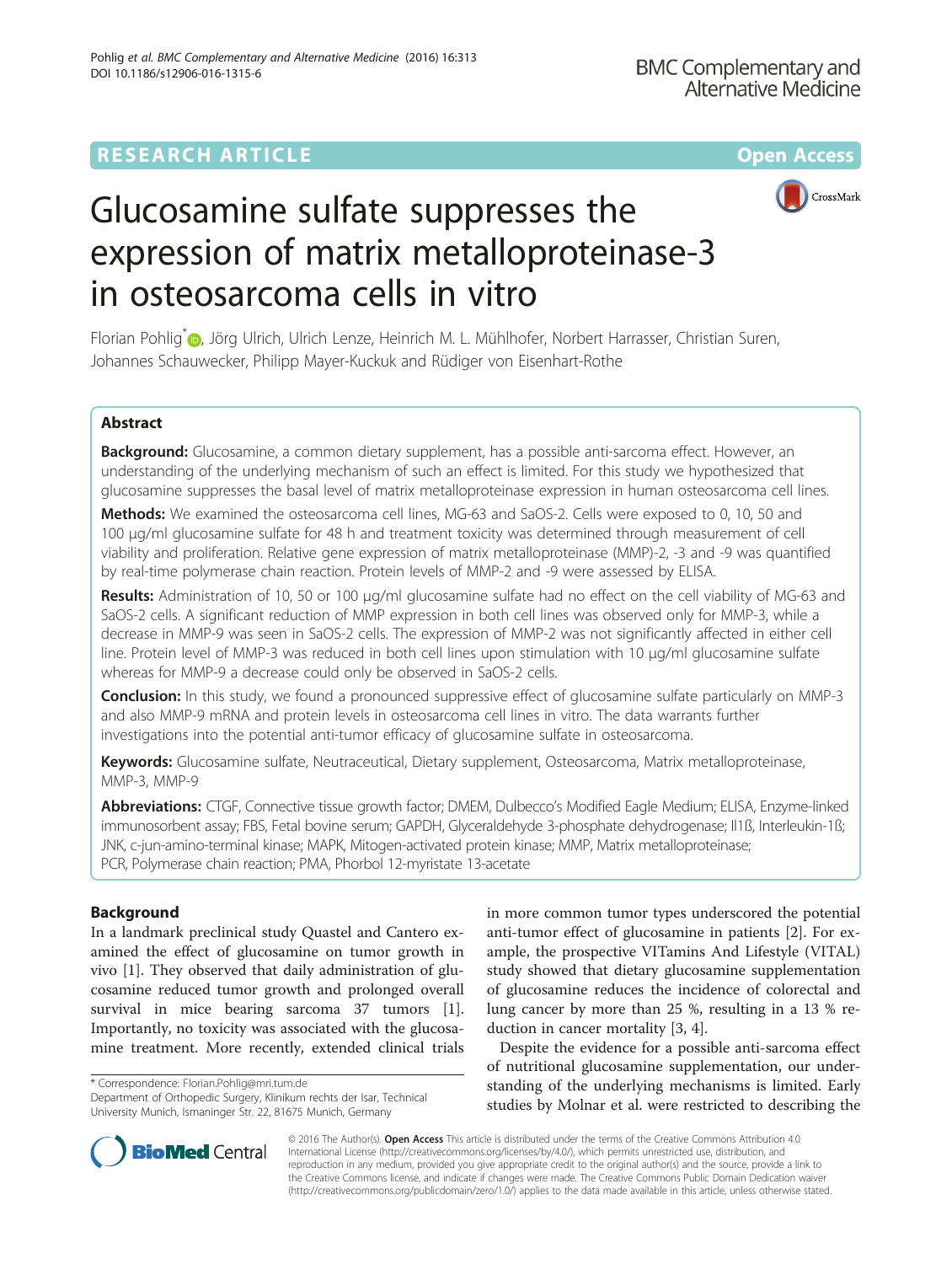## **RESEARCH ARTICLE External Structure Community Community Community Community Community Community Community Community**



# Glucosamine sulfate suppresses the expression of matrix metalloproteinase-3 in osteosarcoma cells in vitro

Florian Pohlig<sup>[\\*](http://orcid.org/0000-0002-8867-2973)</sup> <sub>(b</sub>, Jörg Ulrich, Ulrich Lenze, Heinrich M. L. Mühlhofer, Norbert Harrasser, Christian Suren, Johannes Schauwecker, Philipp Mayer-Kuckuk and Rüdiger von Eisenhart-Rothe

## Abstract

Background: Glucosamine, a common dietary supplement, has a possible anti-sarcoma effect. However, an understanding of the underlying mechanism of such an effect is limited. For this study we hypothesized that glucosamine suppresses the basal level of matrix metalloproteinase expression in human osteosarcoma cell lines.

Methods: We examined the osteosarcoma cell lines, MG-63 and SaOS-2. Cells were exposed to 0, 10, 50 and 100 μg/ml glucosamine sulfate for 48 h and treatment toxicity was determined through measurement of cell viability and proliferation. Relative gene expression of matrix metalloproteinase (MMP)-2, -3 and -9 was quantified by real-time polymerase chain reaction. Protein levels of MMP-2 and -9 were assessed by ELISA.

Results: Administration of 10, 50 or 100 µg/ml glucosamine sulfate had no effect on the cell viability of MG-63 and SaOS-2 cells. A significant reduction of MMP expression in both cell lines was observed only for MMP-3, while a decrease in MMP-9 was seen in SaOS-2 cells. The expression of MMP-2 was not significantly affected in either cell line. Protein level of MMP-3 was reduced in both cell lines upon stimulation with 10 μg/ml glucosamine sulfate whereas for MMP-9 a decrease could only be observed in SaOS-2 cells.

Conclusion: In this study, we found a pronounced suppressive effect of glucosamine sulfate particularly on MMP-3 and also MMP-9 mRNA and protein levels in osteosarcoma cell lines in vitro. The data warrants further investigations into the potential anti-tumor efficacy of glucosamine sulfate in osteosarcoma.

Keywords: Glucosamine sulfate, Neutraceutical, Dietary supplement, Osteosarcoma, Matrix metalloproteinase, MMP-3, MMP-9

Abbreviations: CTGF, Connective tissue growth factor; DMEM, Dulbecco's Modified Eagle Medium; ELISA, Enzyme-linked immunosorbent assay; FBS, Fetal bovine serum; GAPDH, Glyceraldehyde 3-phosphate dehydrogenase; Il1ß, Interleukin-1ß; JNK, c-jun-amino-terminal kinase; MAPK, Mitogen-activated protein kinase; MMP, Matrix metalloproteinase; PCR, Polymerase chain reaction; PMA, Phorbol 12-myristate 13-acetate

## Background

In a landmark preclinical study Quastel and Cantero examined the effect of glucosamine on tumor growth in vivo [[1\]](#page-5-0). They observed that daily administration of glucosamine reduced tumor growth and prolonged overall survival in mice bearing sarcoma 37 tumors [\[1](#page-5-0)]. Importantly, no toxicity was associated with the glucosamine treatment. More recently, extended clinical trials

\* Correspondence: [Florian.Pohlig@mri.tum.de](mailto:Florian.Pohlig@mri.tum.de)

in more common tumor types underscored the potential anti-tumor effect of glucosamine in patients [[2\]](#page-5-0). For example, the prospective VITamins And Lifestyle (VITAL) study showed that dietary glucosamine supplementation of glucosamine reduces the incidence of colorectal and lung cancer by more than 25 %, resulting in a 13 % reduction in cancer mortality [[3, 4\]](#page-5-0).

Despite the evidence for a possible anti-sarcoma effect of nutritional glucosamine supplementation, our understanding of the underlying mechanisms is limited. Early studies by Molnar et al. were restricted to describing the



© 2016 The Author(s). Open Access This article is distributed under the terms of the Creative Commons Attribution 4.0 International License [\(http://creativecommons.org/licenses/by/4.0/](http://creativecommons.org/licenses/by/4.0/)), which permits unrestricted use, distribution, and reproduction in any medium, provided you give appropriate credit to the original author(s) and the source, provide a link to the Creative Commons license, and indicate if changes were made. The Creative Commons Public Domain Dedication waiver [\(http://creativecommons.org/publicdomain/zero/1.0/](http://creativecommons.org/publicdomain/zero/1.0/)) applies to the data made available in this article, unless otherwise stated.

Department of Orthopedic Surgery, Klinikum rechts der Isar, Technical University Munich, Ismaninger Str. 22, 81675 Munich, Germany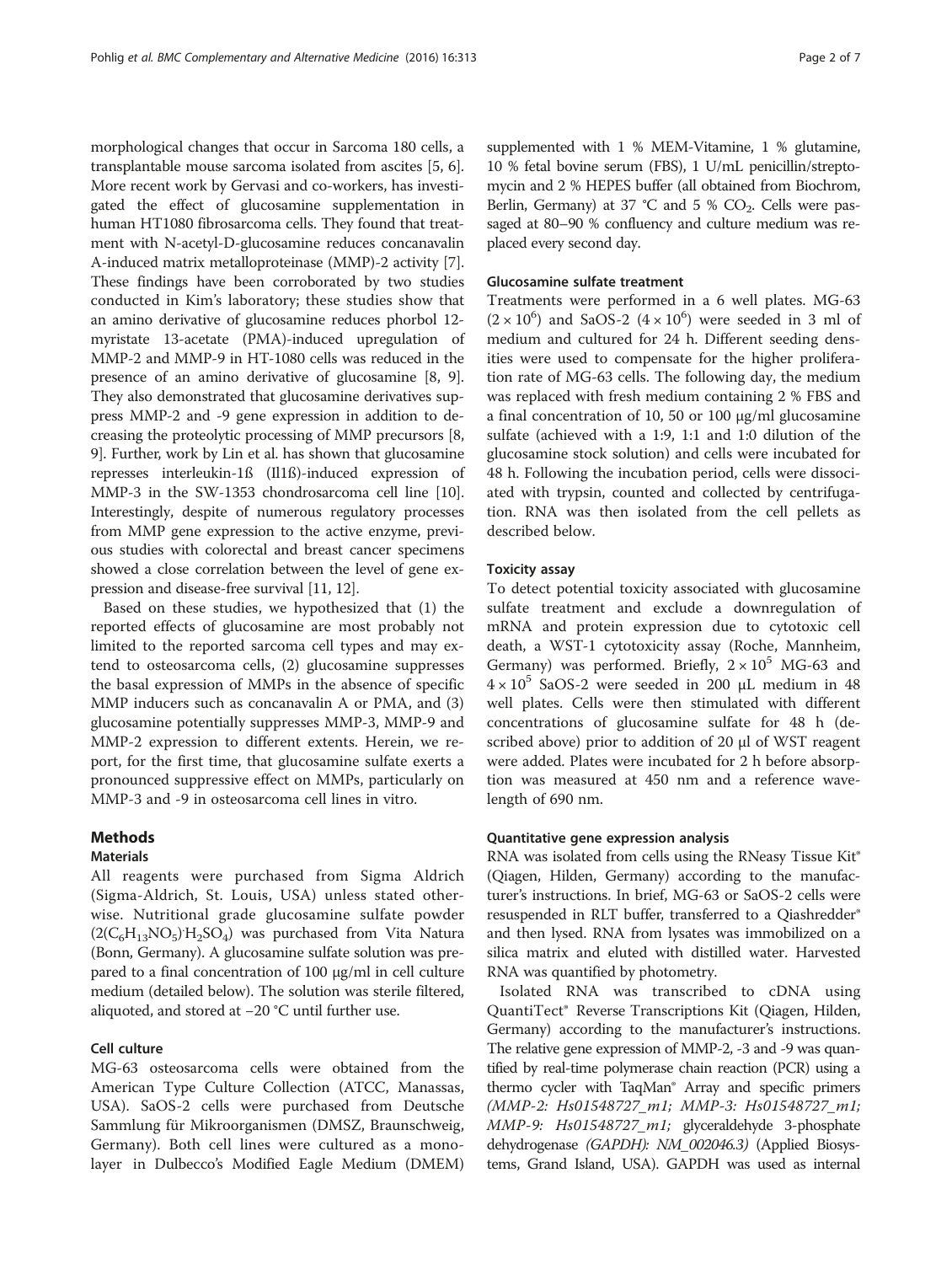morphological changes that occur in Sarcoma 180 cells, a transplantable mouse sarcoma isolated from ascites [\[5](#page-5-0), [6](#page-5-0)]. More recent work by Gervasi and co-workers, has investigated the effect of glucosamine supplementation in human HT1080 fibrosarcoma cells. They found that treatment with N-acetyl-D-glucosamine reduces concanavalin A-induced matrix metalloproteinase (MMP)-2 activity [[7](#page-5-0)]. These findings have been corroborated by two studies conducted in Kim's laboratory; these studies show that an amino derivative of glucosamine reduces phorbol 12 myristate 13-acetate (PMA)-induced upregulation of MMP-2 and MMP-9 in HT-1080 cells was reduced in the presence of an amino derivative of glucosamine [[8](#page-5-0), [9](#page-5-0)]. They also demonstrated that glucosamine derivatives suppress MMP-2 and -9 gene expression in addition to decreasing the proteolytic processing of MMP precursors [[8](#page-5-0), [9\]](#page-5-0). Further, work by Lin et al. has shown that glucosamine represses interleukin-1ß (Il1ß)-induced expression of MMP-3 in the SW-1353 chondrosarcoma cell line [[10](#page-5-0)]. Interestingly, despite of numerous regulatory processes from MMP gene expression to the active enzyme, previous studies with colorectal and breast cancer specimens showed a close correlation between the level of gene expression and disease-free survival [[11](#page-5-0), [12\]](#page-5-0).

Based on these studies, we hypothesized that (1) the reported effects of glucosamine are most probably not limited to the reported sarcoma cell types and may extend to osteosarcoma cells, (2) glucosamine suppresses the basal expression of MMPs in the absence of specific MMP inducers such as concanavalin A or PMA, and (3) glucosamine potentially suppresses MMP-3, MMP-9 and MMP-2 expression to different extents. Herein, we report, for the first time, that glucosamine sulfate exerts a pronounced suppressive effect on MMPs, particularly on MMP-3 and -9 in osteosarcoma cell lines in vitro.

## **Mathods**

## Materials

All reagents were purchased from Sigma Aldrich (Sigma-Aldrich, St. Louis, USA) unless stated otherwise. Nutritional grade glucosamine sulfate powder  $(2(C_6H_{13}NO_5)H_2SO_4)$  was purchased from Vita Natura (Bonn, Germany). A glucosamine sulfate solution was prepared to a final concentration of 100 μg/ml in cell culture medium (detailed below). The solution was sterile filtered, aliquoted, and stored at −20 °C until further use.

## Cell culture

MG-63 osteosarcoma cells were obtained from the American Type Culture Collection (ATCC, Manassas, USA). SaOS-2 cells were purchased from Deutsche Sammlung für Mikroorganismen (DMSZ, Braunschweig, Germany). Both cell lines were cultured as a monolayer in Dulbecco's Modified Eagle Medium (DMEM) supplemented with 1 % MEM-Vitamine, 1 % glutamine, 10 % fetal bovine serum (FBS), 1 U/mL penicillin/streptomycin and 2 % HEPES buffer (all obtained from Biochrom, Berlin, Germany) at 37 °C and 5 %  $CO<sub>2</sub>$ . Cells were passaged at 80–90 % confluency and culture medium was replaced every second day.

## Glucosamine sulfate treatment

Treatments were performed in a 6 well plates. MG-63  $(2 \times 10^6)$  and SaOS-2  $(4 \times 10^6)$  were seeded in 3 ml of medium and cultured for 24 h. Different seeding densities were used to compensate for the higher proliferation rate of MG-63 cells. The following day, the medium was replaced with fresh medium containing 2 % FBS and a final concentration of 10, 50 or 100 μg/ml glucosamine sulfate (achieved with a 1:9, 1:1 and 1:0 dilution of the glucosamine stock solution) and cells were incubated for 48 h. Following the incubation period, cells were dissociated with trypsin, counted and collected by centrifugation. RNA was then isolated from the cell pellets as described below.

## Toxicity assay

To detect potential toxicity associated with glucosamine sulfate treatment and exclude a downregulation of mRNA and protein expression due to cytotoxic cell death, a WST-1 cytotoxicity assay (Roche, Mannheim, Germany) was performed. Briefly,  $2 \times 10^5$  MG-63 and  $4 \times 10^5$  SaOS-2 were seeded in 200 µL medium in 48 well plates. Cells were then stimulated with different concentrations of glucosamine sulfate for 48 h (described above) prior to addition of 20 μl of WST reagent were added. Plates were incubated for 2 h before absorption was measured at 450 nm and a reference wavelength of 690 nm.

## Quantitative gene expression analysis

RNA was isolated from cells using the RNeasy Tissue Kit® (Qiagen, Hilden, Germany) according to the manufacturer's instructions. In brief, MG-63 or SaOS-2 cells were resuspended in RLT buffer, transferred to a Qiashredder® and then lysed. RNA from lysates was immobilized on a silica matrix and eluted with distilled water. Harvested RNA was quantified by photometry.

Isolated RNA was transcribed to cDNA using QuantiTect® Reverse Transcriptions Kit (Qiagen, Hilden, Germany) according to the manufacturer's instructions. The relative gene expression of MMP-2, -3 and -9 was quantified by real-time polymerase chain reaction (PCR) using a thermo cycler with TaqMan® Array and specific primers (MMP-2: Hs01548727\_m1; MMP-3: Hs01548727\_m1; MMP-9: Hs01548727\_m1; glyceraldehyde 3-phosphate dehydrogenase (GAPDH): NM\_002046.3) (Applied Biosystems, Grand Island, USA). GAPDH was used as internal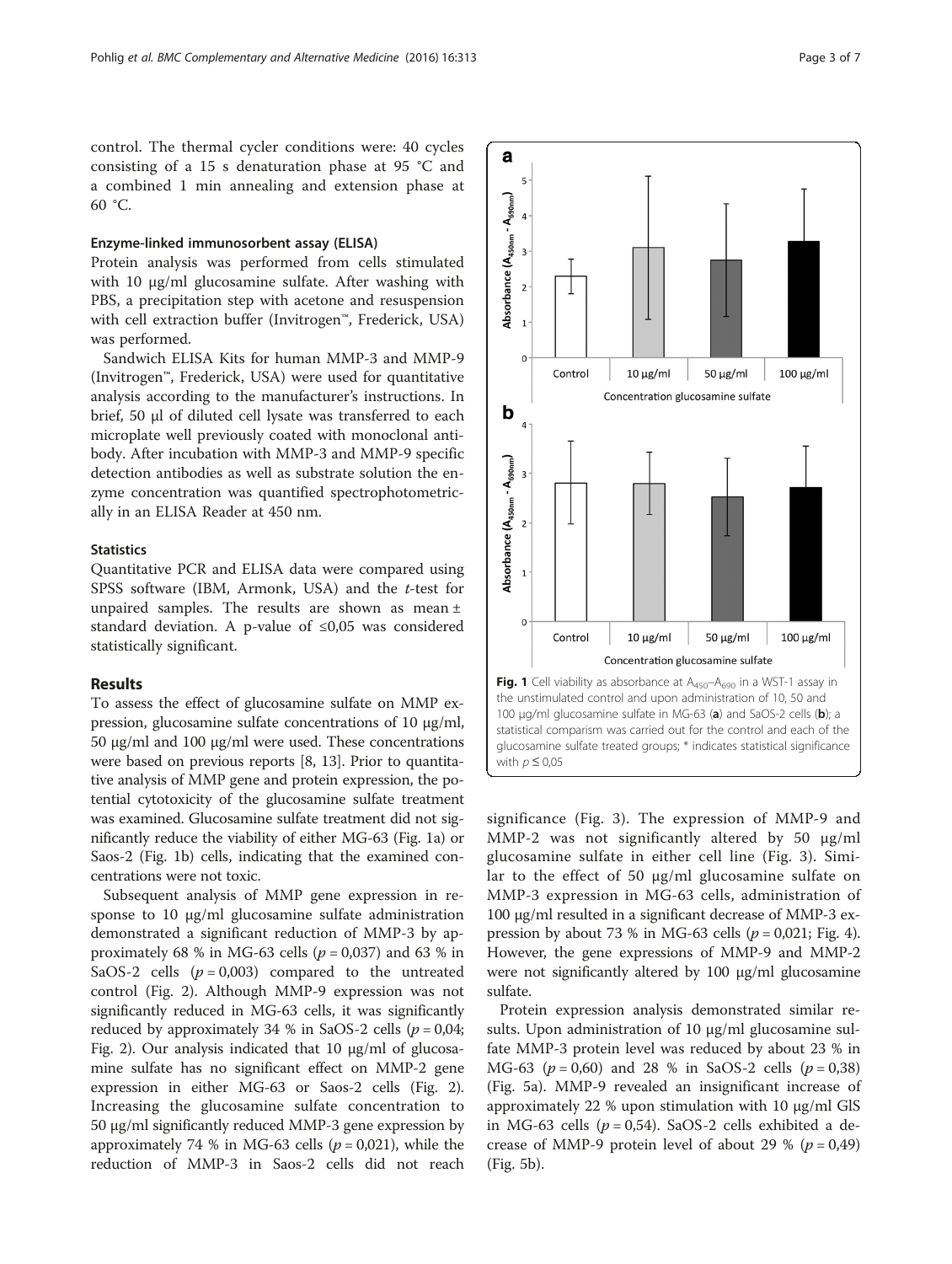control. The thermal cycler conditions were: 40 cycles consisting of a 15 s denaturation phase at 95 °C and a combined 1 min annealing and extension phase at 60 °C.

## Enzyme-linked immunosorbent assay (ELISA)

Protein analysis was performed from cells stimulated with 10 μg/ml glucosamine sulfate. After washing with PBS, a precipitation step with acetone and resuspension with cell extraction buffer (Invitrogen™, Frederick, USA) was performed.

Sandwich ELISA Kits for human MMP-3 and MMP-9 (Invitrogen™, Frederick, USA) were used for quantitative analysis according to the manufacturer's instructions. In brief, 50 μl of diluted cell lysate was transferred to each microplate well previously coated with monoclonal antibody. After incubation with MMP-3 and MMP-9 specific detection antibodies as well as substrate solution the enzyme concentration was quantified spectrophotometrically in an ELISA Reader at 450 nm.

## **Statistics**

Quantitative PCR and ELISA data were compared using SPSS software (IBM, Armonk, USA) and the t-test for unpaired samples. The results are shown as mean ± standard deviation. A p-value of ≤0,05 was considered statistically significant.

## Results

To assess the effect of glucosamine sulfate on MMP expression, glucosamine sulfate concentrations of 10 μg/ml, 50 μg/ml and 100 μg/ml were used. These concentrations were based on previous reports [[8, 13\]](#page-5-0). Prior to quantitative analysis of MMP gene and protein expression, the potential cytotoxicity of the glucosamine sulfate treatment was examined. Glucosamine sulfate treatment did not significantly reduce the viability of either MG-63 (Fig. 1a) or Saos-2 (Fig. 1b) cells, indicating that the examined concentrations were not toxic.

Subsequent analysis of MMP gene expression in response to 10 μg/ml glucosamine sulfate administration demonstrated a significant reduction of MMP-3 by approximately 68 % in MG-63 cells ( $p = 0.037$ ) and 63 % in SaOS-2 cells  $(p = 0.003)$  compared to the untreated control (Fig. [2](#page-3-0)). Although MMP-9 expression was not significantly reduced in MG-63 cells, it was significantly reduced by approximately 34 % in SaOS-2 cells ( $p = 0.04$ ; Fig. [2\)](#page-3-0). Our analysis indicated that 10 μg/ml of glucosamine sulfate has no significant effect on MMP-2 gene expression in either MG-63 or Saos-2 cells (Fig. [2](#page-3-0)). Increasing the glucosamine sulfate concentration to 50 μg/ml significantly reduced MMP-3 gene expression by approximately 74 % in MG-63 cells ( $p = 0.021$ ), while the reduction of MMP-3 in Saos-2 cells did not reach



significance (Fig. [3\)](#page-3-0). The expression of MMP-9 and MMP-2 was not significantly altered by 50 μg/ml glucosamine sulfate in either cell line (Fig. [3\)](#page-3-0). Similar to the effect of 50 μg/ml glucosamine sulfate on MMP-3 expression in MG-63 cells, administration of 100 μg/ml resulted in a significant decrease of MMP-3 expression by about 73 % in MG-63 cells ( $p = 0.021$ ; Fig. [4](#page-4-0)). However, the gene expressions of MMP-9 and MMP-2 were not significantly altered by 100 μg/ml glucosamine sulfate.

Protein expression analysis demonstrated similar results. Upon administration of 10 μg/ml glucosamine sulfate MMP-3 protein level was reduced by about 23 % in MG-63 ( $p = 0.60$ ) and 28 % in SaOS-2 cells ( $p = 0.38$ ) (Fig. [5a\)](#page-4-0). MMP-9 revealed an insignificant increase of approximately 22 % upon stimulation with 10 μg/ml GlS in MG-63 cells ( $p = 0.54$ ). SaOS-2 cells exhibited a decrease of MMP-9 protein level of about 29 % ( $p = 0.49$ ) (Fig. [5b](#page-4-0)).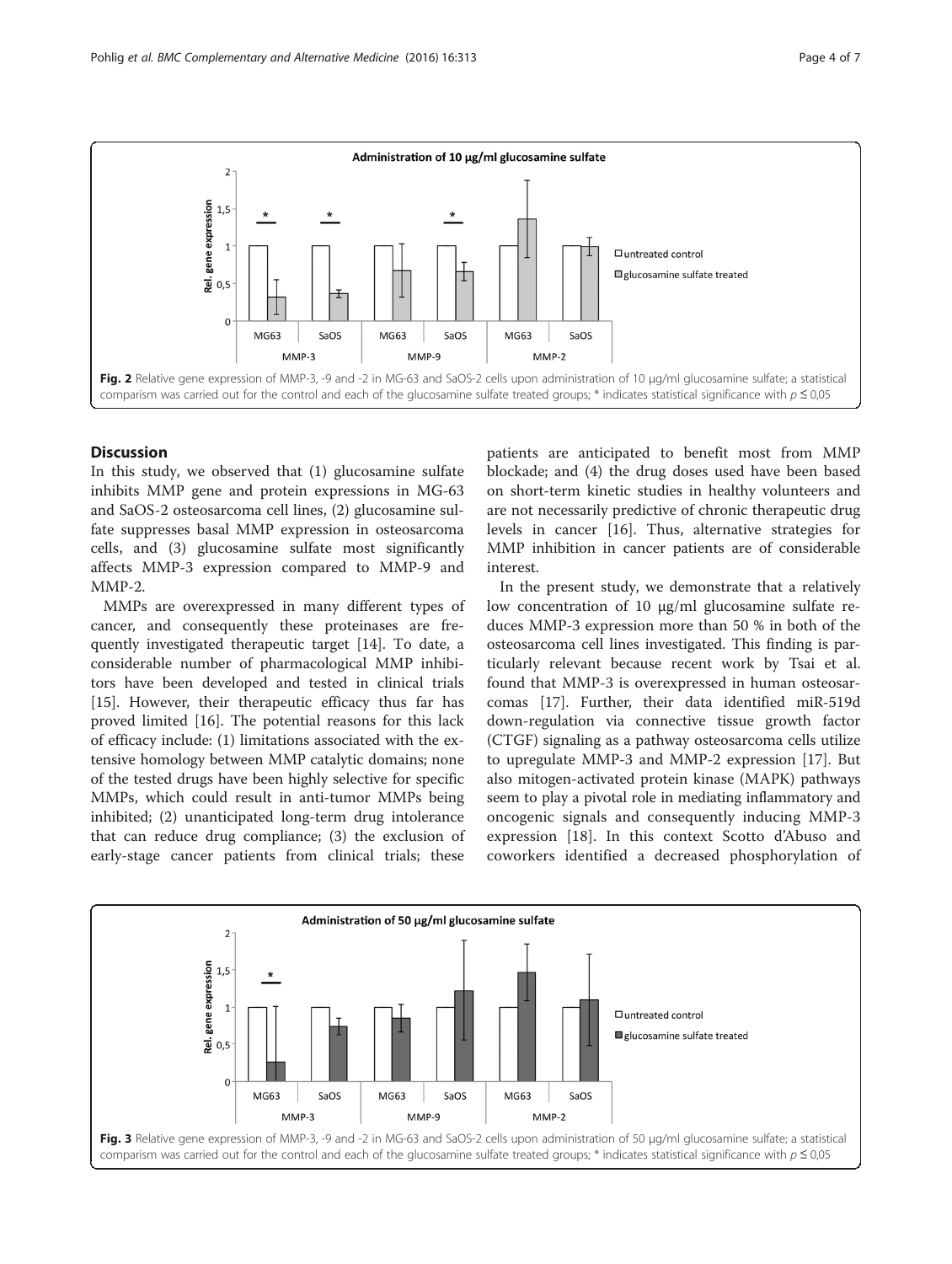<span id="page-3-0"></span>

## **Discussion**

In this study, we observed that (1) glucosamine sulfate inhibits MMP gene and protein expressions in MG-63 and SaOS-2 osteosarcoma cell lines, (2) glucosamine sulfate suppresses basal MMP expression in osteosarcoma cells, and (3) glucosamine sulfate most significantly affects MMP-3 expression compared to MMP-9 and MMP-2.

MMPs are overexpressed in many different types of cancer, and consequently these proteinases are frequently investigated therapeutic target [\[14](#page-5-0)]. To date, a considerable number of pharmacological MMP inhibitors have been developed and tested in clinical trials [[15\]](#page-5-0). However, their therapeutic efficacy thus far has proved limited [[16\]](#page-5-0). The potential reasons for this lack of efficacy include: (1) limitations associated with the extensive homology between MMP catalytic domains; none of the tested drugs have been highly selective for specific MMPs, which could result in anti-tumor MMPs being inhibited; (2) unanticipated long-term drug intolerance that can reduce drug compliance; (3) the exclusion of early-stage cancer patients from clinical trials; these

patients are anticipated to benefit most from MMP blockade; and (4) the drug doses used have been based on short-term kinetic studies in healthy volunteers and are not necessarily predictive of chronic therapeutic drug levels in cancer [\[16](#page-5-0)]. Thus, alternative strategies for MMP inhibition in cancer patients are of considerable interest.

In the present study, we demonstrate that a relatively low concentration of 10 μg/ml glucosamine sulfate reduces MMP-3 expression more than 50 % in both of the osteosarcoma cell lines investigated. This finding is particularly relevant because recent work by Tsai et al. found that MMP-3 is overexpressed in human osteosarcomas [[17\]](#page-5-0). Further, their data identified miR-519d down-regulation via connective tissue growth factor (CTGF) signaling as a pathway osteosarcoma cells utilize to upregulate MMP-3 and MMP-2 expression [\[17\]](#page-5-0). But also mitogen-activated protein kinase (MAPK) pathways seem to play a pivotal role in mediating inflammatory and oncogenic signals and consequently inducing MMP-3 expression [[18\]](#page-5-0). In this context Scotto d'Abuso and coworkers identified a decreased phosphorylation of

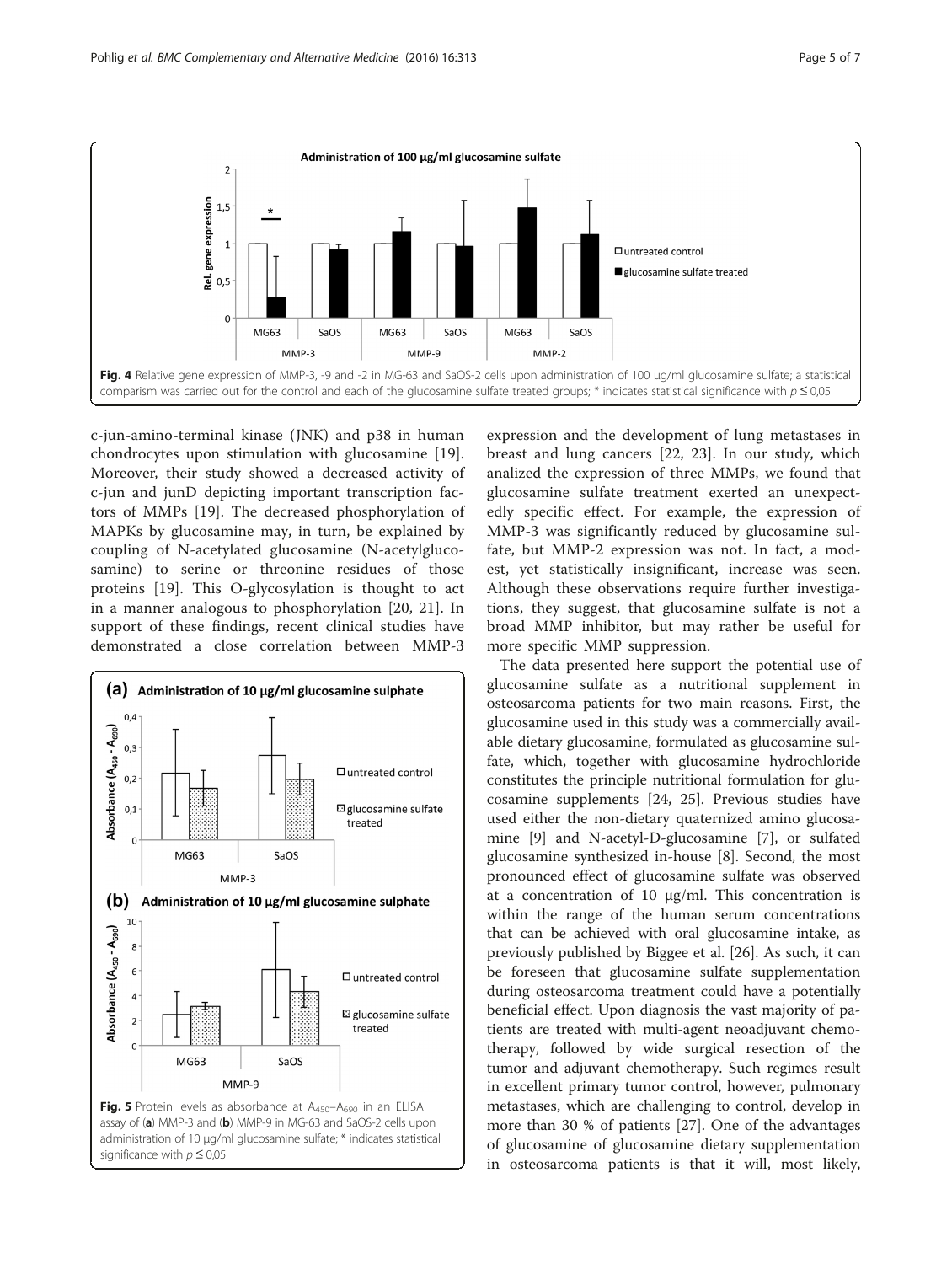<span id="page-4-0"></span>

c-jun-amino-terminal kinase (JNK) and p38 in human chondrocytes upon stimulation with glucosamine [\[19](#page-5-0)]. Moreover, their study showed a decreased activity of c-jun and junD depicting important transcription factors of MMPs [[19\]](#page-5-0). The decreased phosphorylation of MAPKs by glucosamine may, in turn, be explained by coupling of N-acetylated glucosamine (N-acetylglucosamine) to serine or threonine residues of those proteins [\[19](#page-5-0)]. This O-glycosylation is thought to act in a manner analogous to phosphorylation [[20](#page-5-0), [21](#page-5-0)]. In support of these findings, recent clinical studies have demonstrated a close correlation between MMP-3



expression and the development of lung metastases in breast and lung cancers [[22, 23\]](#page-5-0). In our study, which analized the expression of three MMPs, we found that glucosamine sulfate treatment exerted an unexpectedly specific effect. For example, the expression of MMP-3 was significantly reduced by glucosamine sulfate, but MMP-2 expression was not. In fact, a modest, yet statistically insignificant, increase was seen. Although these observations require further investigations, they suggest, that glucosamine sulfate is not a broad MMP inhibitor, but may rather be useful for more specific MMP suppression.

The data presented here support the potential use of glucosamine sulfate as a nutritional supplement in osteosarcoma patients for two main reasons. First, the glucosamine used in this study was a commercially available dietary glucosamine, formulated as glucosamine sulfate, which, together with glucosamine hydrochloride constitutes the principle nutritional formulation for glucosamine supplements [\[24](#page-5-0), [25\]](#page-6-0). Previous studies have used either the non-dietary quaternized amino glucosamine [\[9\]](#page-5-0) and N-acetyl-D-glucosamine [[7\]](#page-5-0), or sulfated glucosamine synthesized in-house [\[8](#page-5-0)]. Second, the most pronounced effect of glucosamine sulfate was observed at a concentration of 10 μg/ml. This concentration is within the range of the human serum concentrations that can be achieved with oral glucosamine intake, as previously published by Biggee et al. [[26\]](#page-6-0). As such, it can be foreseen that glucosamine sulfate supplementation during osteosarcoma treatment could have a potentially beneficial effect. Upon diagnosis the vast majority of patients are treated with multi-agent neoadjuvant chemotherapy, followed by wide surgical resection of the tumor and adjuvant chemotherapy. Such regimes result in excellent primary tumor control, however, pulmonary metastases, which are challenging to control, develop in more than 30 % of patients [\[27](#page-6-0)]. One of the advantages of glucosamine of glucosamine dietary supplementation in osteosarcoma patients is that it will, most likely,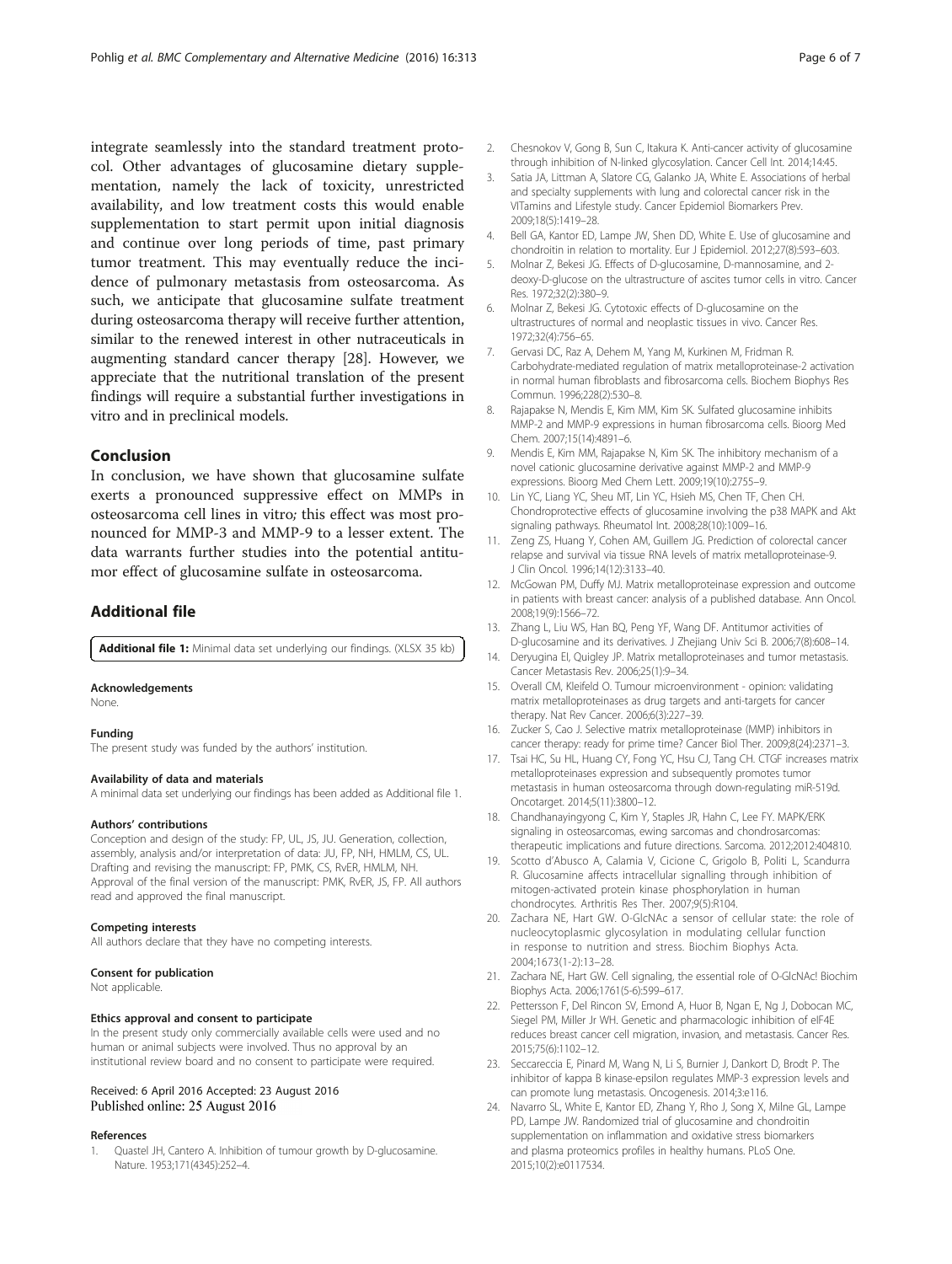<span id="page-5-0"></span>integrate seamlessly into the standard treatment protocol. Other advantages of glucosamine dietary supplementation, namely the lack of toxicity, unrestricted availability, and low treatment costs this would enable supplementation to start permit upon initial diagnosis and continue over long periods of time, past primary tumor treatment. This may eventually reduce the incidence of pulmonary metastasis from osteosarcoma. As such, we anticipate that glucosamine sulfate treatment during osteosarcoma therapy will receive further attention, similar to the renewed interest in other nutraceuticals in augmenting standard cancer therapy [\[28](#page-6-0)]. However, we appreciate that the nutritional translation of the present findings will require a substantial further investigations in vitro and in preclinical models.

## Conclusion

In conclusion, we have shown that glucosamine sulfate exerts a pronounced suppressive effect on MMPs in osteosarcoma cell lines in vitro; this effect was most pronounced for MMP-3 and MMP-9 to a lesser extent. The data warrants further studies into the potential antitumor effect of glucosamine sulfate in osteosarcoma.

## Additional file

[Additional file 1:](dx.doi.org/10.1186/s12906-016-1315-6) Minimal data set underlying our findings. (XLSX 35 kb)

#### Acknowledgements

None.

#### Funding

The present study was funded by the authors' institution.

#### Availability of data and materials

A minimal data set underlying our findings has been added as Additional file 1.

#### Authors' contributions

Conception and design of the study: FP, UL, JS, JU. Generation, collection, assembly, analysis and/or interpretation of data: JU, FP, NH, HMLM, CS, UL. Drafting and revising the manuscript: FP, PMK, CS, RvER, HMLM, NH. Approval of the final version of the manuscript: PMK, RvER, JS, FP. All authors read and approved the final manuscript.

#### Competing interests

All authors declare that they have no competing interests.

#### Consent for publication

Not applicable.

#### Ethics approval and consent to participate

In the present study only commercially available cells were used and no human or animal subjects were involved. Thus no approval by an institutional review board and no consent to participate were required.

## Received: 6 April 2016 Accepted: 23 August 2016 Published online: 25 August 2016

#### References

1. Quastel JH, Cantero A. Inhibition of tumour growth by D-glucosamine. Nature. 1953;171(4345):252–4.

- 2. Chesnokov V, Gong B, Sun C, Itakura K. Anti-cancer activity of glucosamine through inhibition of N-linked glycosylation. Cancer Cell Int. 2014;14:45.
- 3. Satia JA, Littman A, Slatore CG, Galanko JA, White E. Associations of herbal and specialty supplements with lung and colorectal cancer risk in the VITamins and Lifestyle study. Cancer Epidemiol Biomarkers Prev. 2009;18(5):1419–28.
- 4. Bell GA, Kantor ED, Lampe JW, Shen DD, White E. Use of glucosamine and chondroitin in relation to mortality. Eur J Epidemiol. 2012;27(8):593–603.
- 5. Molnar Z, Bekesi JG. Effects of D-glucosamine, D-mannosamine, and 2 deoxy-D-glucose on the ultrastructure of ascites tumor cells in vitro. Cancer Res. 1972;32(2):380–9.
- 6. Molnar Z, Bekesi JG. Cytotoxic effects of D-glucosamine on the ultrastructures of normal and neoplastic tissues in vivo. Cancer Res. 1972;32(4):756–65.
- 7. Gervasi DC, Raz A, Dehem M, Yang M, Kurkinen M, Fridman R. Carbohydrate-mediated regulation of matrix metalloproteinase-2 activation in normal human fibroblasts and fibrosarcoma cells. Biochem Biophys Res Commun. 1996;228(2):530–8.
- 8. Rajapakse N, Mendis E, Kim MM, Kim SK. Sulfated glucosamine inhibits MMP-2 and MMP-9 expressions in human fibrosarcoma cells. Bioorg Med Chem. 2007;15(14):4891–6.
- 9. Mendis E, Kim MM, Rajapakse N, Kim SK. The inhibitory mechanism of a novel cationic glucosamine derivative against MMP-2 and MMP-9 expressions. Bioorg Med Chem Lett. 2009;19(10):2755–9.
- 10. Lin YC, Liang YC, Sheu MT, Lin YC, Hsieh MS, Chen TF, Chen CH. Chondroprotective effects of glucosamine involving the p38 MAPK and Akt signaling pathways. Rheumatol Int. 2008;28(10):1009–16.
- 11. Zeng ZS, Huang Y, Cohen AM, Guillem JG. Prediction of colorectal cancer relapse and survival via tissue RNA levels of matrix metalloproteinase-9. J Clin Oncol. 1996;14(12):3133–40.
- 12. McGowan PM, Duffy MJ. Matrix metalloproteinase expression and outcome in patients with breast cancer: analysis of a published database. Ann Oncol. 2008;19(9):1566–72.
- 13. Zhang L, Liu WS, Han BQ, Peng YF, Wang DF. Antitumor activities of D-glucosamine and its derivatives. J Zhejiang Univ Sci B. 2006;7(8):608–14.
- 14. Deryugina EI, Quigley JP. Matrix metalloproteinases and tumor metastasis. Cancer Metastasis Rev. 2006;25(1):9–34.
- 15. Overall CM, Kleifeld O. Tumour microenvironment opinion: validating matrix metalloproteinases as drug targets and anti-targets for cancer therapy. Nat Rev Cancer. 2006;6(3):227–39.
- 16. Zucker S, Cao J. Selective matrix metalloproteinase (MMP) inhibitors in cancer therapy: ready for prime time? Cancer Biol Ther. 2009;8(24):2371–3.
- 17. Tsai HC, Su HL, Huang CY, Fong YC, Hsu CJ, Tang CH. CTGF increases matrix metalloproteinases expression and subsequently promotes tumor metastasis in human osteosarcoma through down-regulating miR-519d. Oncotarget. 2014;5(11):3800–12.
- 18. Chandhanayingyong C, Kim Y, Staples JR, Hahn C, Lee FY. MAPK/ERK signaling in osteosarcomas, ewing sarcomas and chondrosarcomas: therapeutic implications and future directions. Sarcoma. 2012;2012:404810.
- 19. Scotto d'Abusco A, Calamia V, Cicione C, Grigolo B, Politi L, Scandurra R. Glucosamine affects intracellular signalling through inhibition of mitogen-activated protein kinase phosphorylation in human chondrocytes. Arthritis Res Ther. 2007;9(5):R104.
- 20. Zachara NE, Hart GW. O-GlcNAc a sensor of cellular state: the role of nucleocytoplasmic glycosylation in modulating cellular function in response to nutrition and stress. Biochim Biophys Acta. 2004;1673(1-2):13–28.
- 21. Zachara NE, Hart GW. Cell signaling, the essential role of O-GlcNAc! Biochim Biophys Acta. 2006;1761(5-6):599–617.
- 22. Pettersson F, Del Rincon SV, Emond A, Huor B, Ngan E, Ng J, Dobocan MC, Siegel PM, Miller Jr WH. Genetic and pharmacologic inhibition of eIF4E reduces breast cancer cell migration, invasion, and metastasis. Cancer Res. 2015;75(6):1102–12.
- 23. Seccareccia E, Pinard M, Wang N, Li S, Burnier J, Dankort D, Brodt P. The inhibitor of kappa B kinase-epsilon regulates MMP-3 expression levels and can promote lung metastasis. Oncogenesis. 2014;3:e116.
- 24. Navarro SL, White E, Kantor ED, Zhang Y, Rho J, Song X, Milne GL, Lampe PD, Lampe JW. Randomized trial of glucosamine and chondroitin supplementation on inflammation and oxidative stress biomarkers and plasma proteomics profiles in healthy humans. PLoS One. 2015;10(2):e0117534.